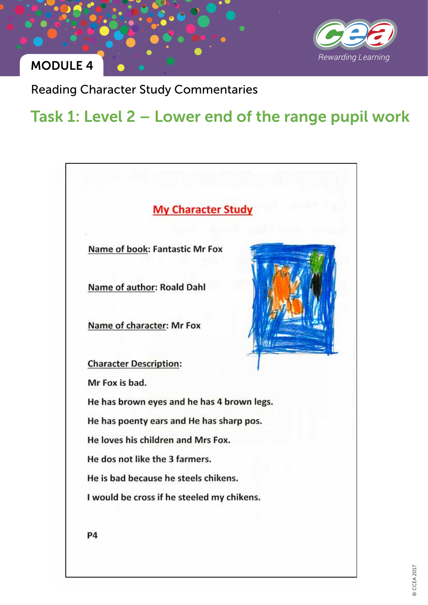

Reading Character Study Commentaries

## Task 1: Level 2 – Lower end of the range pupil work

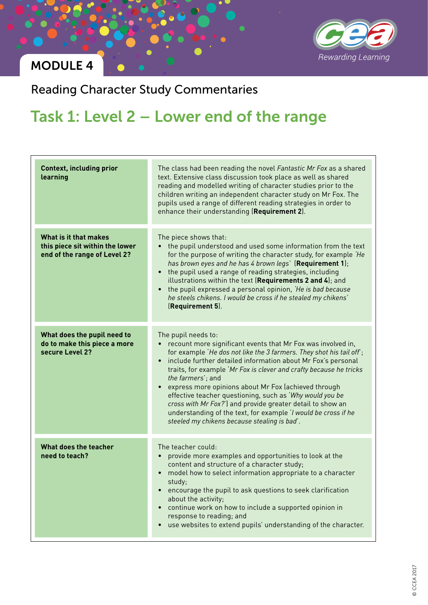

Reading Character Study Commentaries

# Task 1: Level 2 – Lower end of the range

| <b>Context, including prior</b><br>learning                                              | The class had been reading the novel Fantastic Mr Fox as a shared<br>text. Extensive class discussion took place as well as shared<br>reading and modelled writing of character studies prior to the<br>children writing an independent character study on Mr Fox. The<br>pupils used a range of different reading strategies in order to<br>enhance their understanding (Requirement 2).                                                                                                                                                                                                                                              |
|------------------------------------------------------------------------------------------|----------------------------------------------------------------------------------------------------------------------------------------------------------------------------------------------------------------------------------------------------------------------------------------------------------------------------------------------------------------------------------------------------------------------------------------------------------------------------------------------------------------------------------------------------------------------------------------------------------------------------------------|
| What is it that makes<br>this piece sit within the lower<br>end of the range of Level 2? | The piece shows that:<br>the pupil understood and used some information from the text<br>for the purpose of writing the character study, for example 'He<br>has brown eyes and he has 4 brown legs' (Requirement 1);<br>the pupil used a range of reading strategies, including<br>$\bullet$<br>illustrations within the text (Requirements 2 and 4); and<br>the pupil expressed a personal opinion, 'He is bad because<br>$\bullet$<br>he steels chikens. I would be cross if he stealed my chikens'<br>(Requirement 5).                                                                                                              |
| What does the pupil need to<br>do to make this piece a more<br>secure Level 2?           | The pupil needs to:<br>recount more significant events that Mr Fox was involved in,<br>for example 'He dos not like the 3 farmers. They shot his tail off;<br>include further detailed information about Mr Fox's personal<br>$\bullet$<br>traits, for example 'Mr Fox is clever and crafty because he tricks<br>the farmers'; and<br>express more opinions about Mr Fox (achieved through<br>effective teacher questioning, such as 'Why would you be<br>cross with Mr Fox?') and provide greater detail to show an<br>understanding of the text, for example 'I would be cross if he<br>steeled my chikens because stealing is bad'. |
| What does the teacher<br>need to teach?                                                  | The teacher could:<br>provide more examples and opportunities to look at the<br>content and structure of a character study;<br>model how to select information appropriate to a character<br>study;<br>encourage the pupil to ask questions to seek clarification<br>$\bullet$<br>about the activity;<br>continue work on how to include a supported opinion in<br>$\bullet$<br>response to reading; and<br>use websites to extend pupils' understanding of the character.                                                                                                                                                             |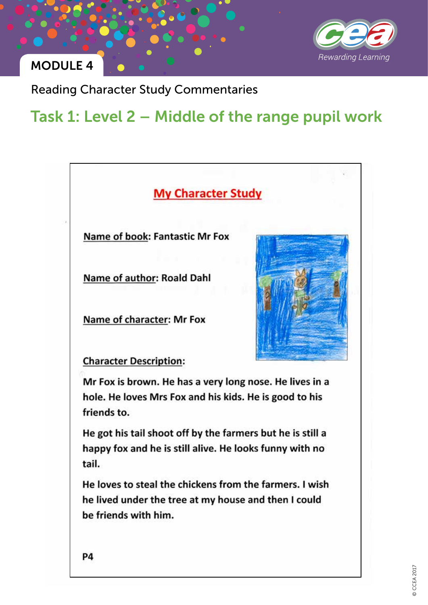

Reading Character Study Commentaries

## Task 1: Level 2 – Middle of the range pupil work



Name of book: Fantastic Mr Fox

Name of author: Roald Dahl

Name of character: Mr Fox



**Character Description:** 

Mr Fox is brown. He has a very long nose. He lives in a hole. He loves Mrs Fox and his kids. He is good to his friends to.

He got his tail shoot off by the farmers but he is still a happy fox and he is still alive. He looks funny with no tail.

He loves to steal the chickens from the farmers. I wish he lived under the tree at my house and then I could be friends with him.

P4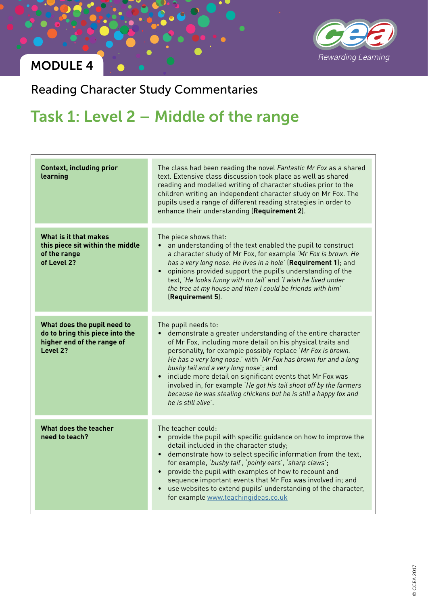

Reading Character Study Commentaries

# Task 1: Level 2 – Middle of the range

| <b>Context, including prior</b><br>learning                                                              | The class had been reading the novel Fantastic Mr Fox as a shared<br>text. Extensive class discussion took place as well as shared<br>reading and modelled writing of character studies prior to the<br>children writing an independent character study on Mr Fox. The<br>pupils used a range of different reading strategies in order to<br>enhance their understanding (Requirement 2).                                                                                                                                                                    |
|----------------------------------------------------------------------------------------------------------|--------------------------------------------------------------------------------------------------------------------------------------------------------------------------------------------------------------------------------------------------------------------------------------------------------------------------------------------------------------------------------------------------------------------------------------------------------------------------------------------------------------------------------------------------------------|
| What is it that makes<br>this piece sit within the middle<br>of the range<br>of Level 2?                 | The piece shows that:<br>an understanding of the text enabled the pupil to construct<br>$\bullet$<br>a character study of Mr Fox, for example 'Mr Fox is brown. He<br>has a very long nose. He lives in a hole' (Requirement 1); and<br>opinions provided support the pupil's understanding of the<br>$\bullet$<br>text, 'He looks funny with no tail' and 'I wish he lived under<br>the tree at my house and then I could be friends with him'<br>(Requirement 5).                                                                                          |
| What does the pupil need to<br>do to bring this piece into the<br>higher end of the range of<br>Level 2? | The pupil needs to:<br>demonstrate a greater understanding of the entire character<br>of Mr Fox, including more detail on his physical traits and<br>personality, for example possibly replace 'Mr Fox is brown.<br>He has a very long nose.' with 'Mr Fox has brown fur and a long<br>bushy tail and a very long nose'; and<br>• include more detail on significant events that Mr Fox was<br>involved in, for example 'He got his tail shoot off by the farmers<br>because he was stealing chickens but he is still a happy fox and<br>he is still alive'. |
| What does the teacher<br>need to teach?                                                                  | The teacher could:<br>provide the pupil with specific guidance on how to improve the<br>detail included in the character study;<br>demonstrate how to select specific information from the text,<br>for example, 'bushy tail', 'pointy ears', 'sharp claws';<br>provide the pupil with examples of how to recount and<br>sequence important events that Mr Fox was involved in; and<br>use websites to extend pupils' understanding of the character,<br>for example www.teachingideas.co.uk                                                                 |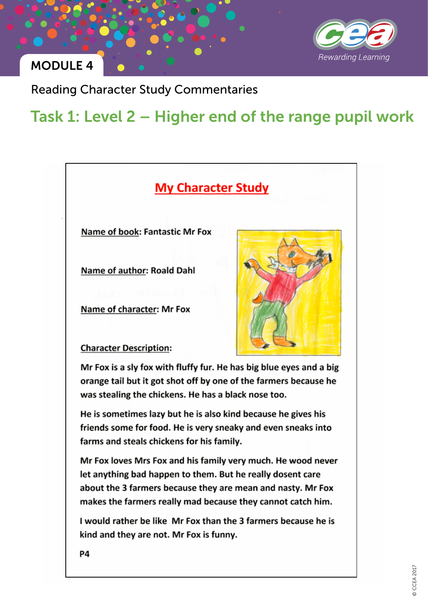

Reading Character Study Commentaries

## Task 1: Level 2 – Higher end of the range pupil work

### **My Character Study**

Name of book: Fantastic Mr Fox

Name of author: Roald Dahl

Name of character: Mr Fox



**Character Description:** 

Mr Fox is a sly fox with fluffy fur. He has big blue eyes and a big orange tail but it got shot off by one of the farmers because he was stealing the chickens. He has a black nose too.

He is sometimes lazy but he is also kind because he gives his friends some for food. He is very sneaky and even sneaks into farms and steals chickens for his family.

Mr Fox loves Mrs Fox and his family very much. He wood never let anything bad happen to them. But he really dosent care about the 3 farmers because they are mean and nasty. Mr Fox makes the farmers really mad because they cannot catch him.

I would rather be like Mr Fox than the 3 farmers because he is kind and they are not. Mr Fox is funny.

**P4**